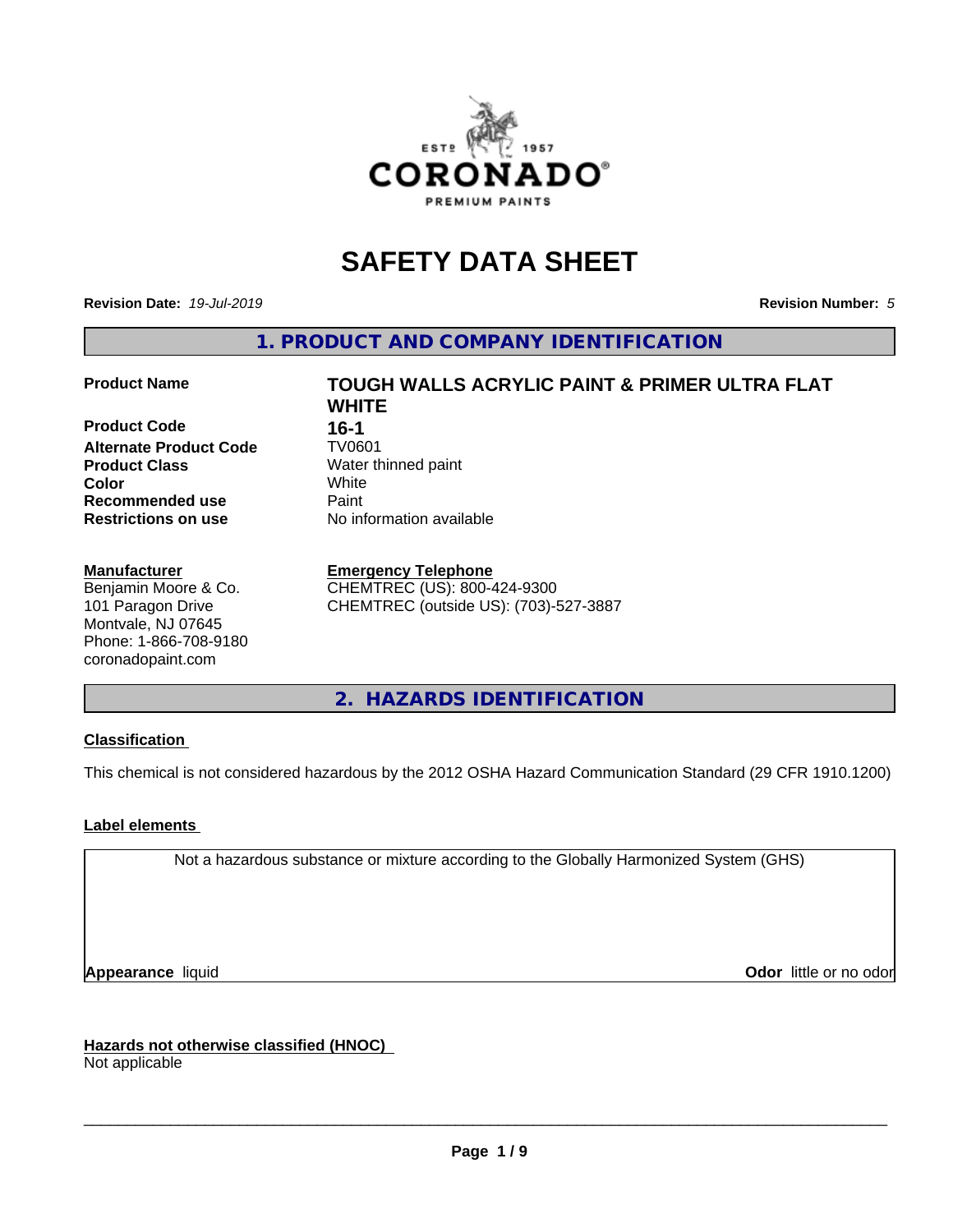

# **SAFETY DATA SHEET**

**Revision Date:** *19-Jul-2019* **Revision Number:** *5*

**1. PRODUCT AND COMPANY IDENTIFICATION**

**Product Code 16-1**<br>**Alternate Product Code 17**V0601 **Alternate Product Code Product Class** Water thinned paint<br> **Color** White **Color** White **Recommended use Caint Restrictions on use** No information available

#### **Manufacturer**

Benjamin Moore & Co. 101 Paragon Drive Montvale, NJ 07645 Phone: 1-866-708-9180 coronadopaint.com

# **Product Name TOUGH WALLS ACRYLIC PAINT & PRIMER ULTRA FLAT WHITE**

#### **Emergency Telephone**

CHEMTREC (US): 800-424-9300 CHEMTREC (outside US): (703)-527-3887

# **2. HAZARDS IDENTIFICATION**

#### **Classification**

This chemical is not considered hazardous by the 2012 OSHA Hazard Communication Standard (29 CFR 1910.1200)

#### **Label elements**

Not a hazardous substance or mixture according to the Globally Harmonized System (GHS)

**Appearance** liquid **Contract Contract Contract Contract Contract Contract Contract Contract Contract Contract Contract Contract Contract Contract Contract Contract Contract Contract Contract Contract Contract Contract Con** 

**Hazards not otherwise classified (HNOC)**

Not applicable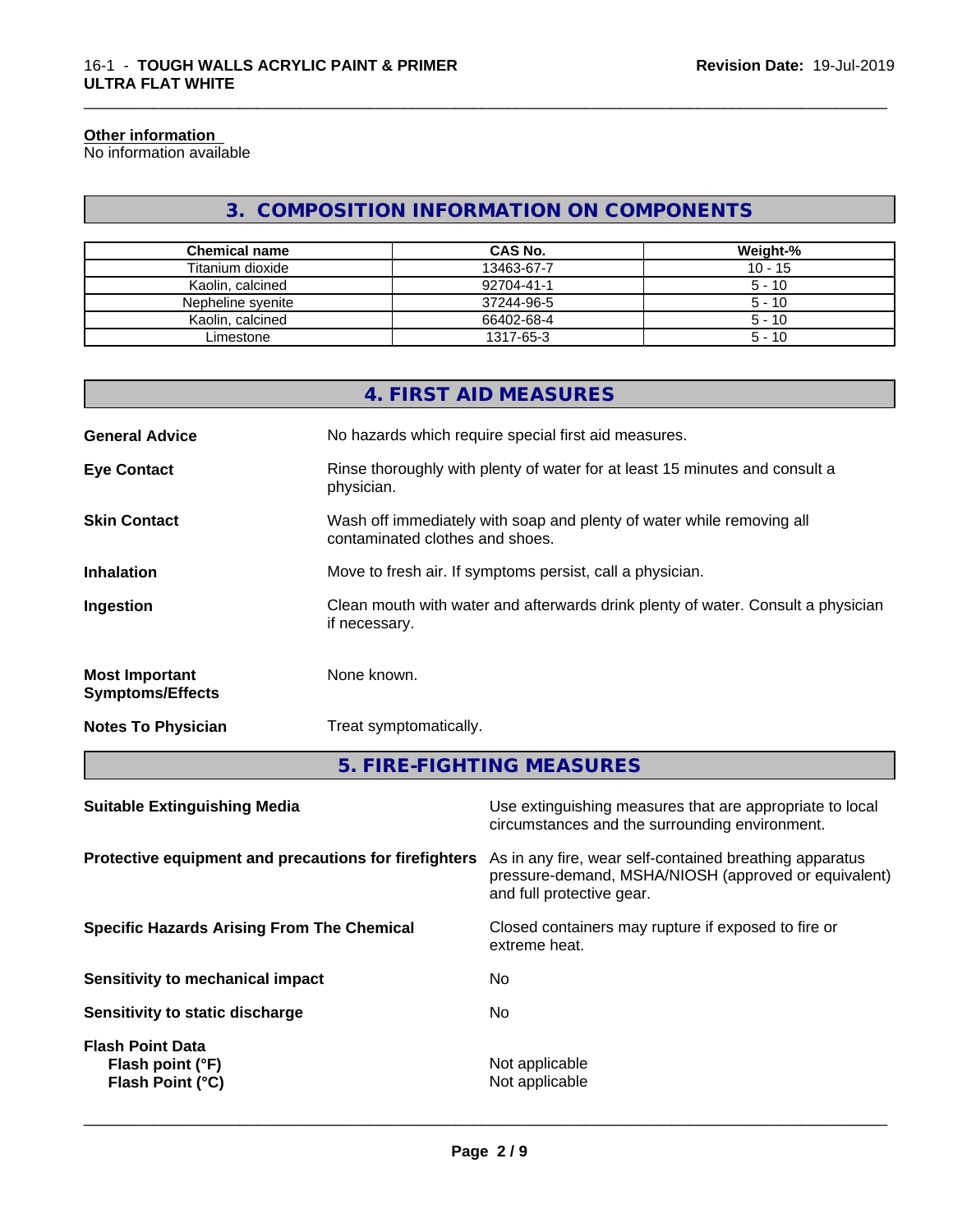#### **Other information**

No information available

# **3. COMPOSITION INFORMATION ON COMPONENTS**

\_\_\_\_\_\_\_\_\_\_\_\_\_\_\_\_\_\_\_\_\_\_\_\_\_\_\_\_\_\_\_\_\_\_\_\_\_\_\_\_\_\_\_\_\_\_\_\_\_\_\_\_\_\_\_\_\_\_\_\_\_\_\_\_\_\_\_\_\_\_\_\_\_\_\_\_\_\_\_\_\_\_\_\_\_\_\_\_\_\_\_\_\_

| <b>Chemical name</b> | CAS No.    | Weight-%  |
|----------------------|------------|-----------|
| Titanium dioxide     | 13463-67-7 | $10 - 15$ |
| Kaolin, calcined     | 92704-41-1 | $5 - 10$  |
| Nepheline svenite    | 37244-96-5 | $5 - 10$  |
| Kaolin, calcined     | 66402-68-4 | $5 - 10$  |
| Limestone            | 1317-65-3  | $5 - 10$  |

|                                                  | 4. FIRST AID MEASURES                                                                                    |
|--------------------------------------------------|----------------------------------------------------------------------------------------------------------|
| <b>General Advice</b>                            | No hazards which require special first aid measures.                                                     |
| <b>Eye Contact</b>                               | Rinse thoroughly with plenty of water for at least 15 minutes and consult a<br>physician.                |
| <b>Skin Contact</b>                              | Wash off immediately with soap and plenty of water while removing all<br>contaminated clothes and shoes. |
| <b>Inhalation</b>                                | Move to fresh air. If symptoms persist, call a physician.                                                |
| Ingestion                                        | Clean mouth with water and afterwards drink plenty of water. Consult a physician<br>if necessary.        |
| <b>Most Important</b><br><b>Symptoms/Effects</b> | None known.                                                                                              |
| <b>Notes To Physician</b>                        | Treat symptomatically.                                                                                   |
|                                                  | E FINE FIQUEINO ME MOUNEC                                                                                |

| 5. FIRE-FIGHTING MEASURES |  |
|---------------------------|--|
|---------------------------|--|

| Use extinguishing measures that are appropriate to local<br>circumstances and the surrounding environment.                                   |
|----------------------------------------------------------------------------------------------------------------------------------------------|
| As in any fire, wear self-contained breathing apparatus<br>pressure-demand, MSHA/NIOSH (approved or equivalent)<br>and full protective gear. |
| Closed containers may rupture if exposed to fire or<br>extreme heat.                                                                         |
| No                                                                                                                                           |
| No.                                                                                                                                          |
| Not applicable<br>Not applicable                                                                                                             |
|                                                                                                                                              |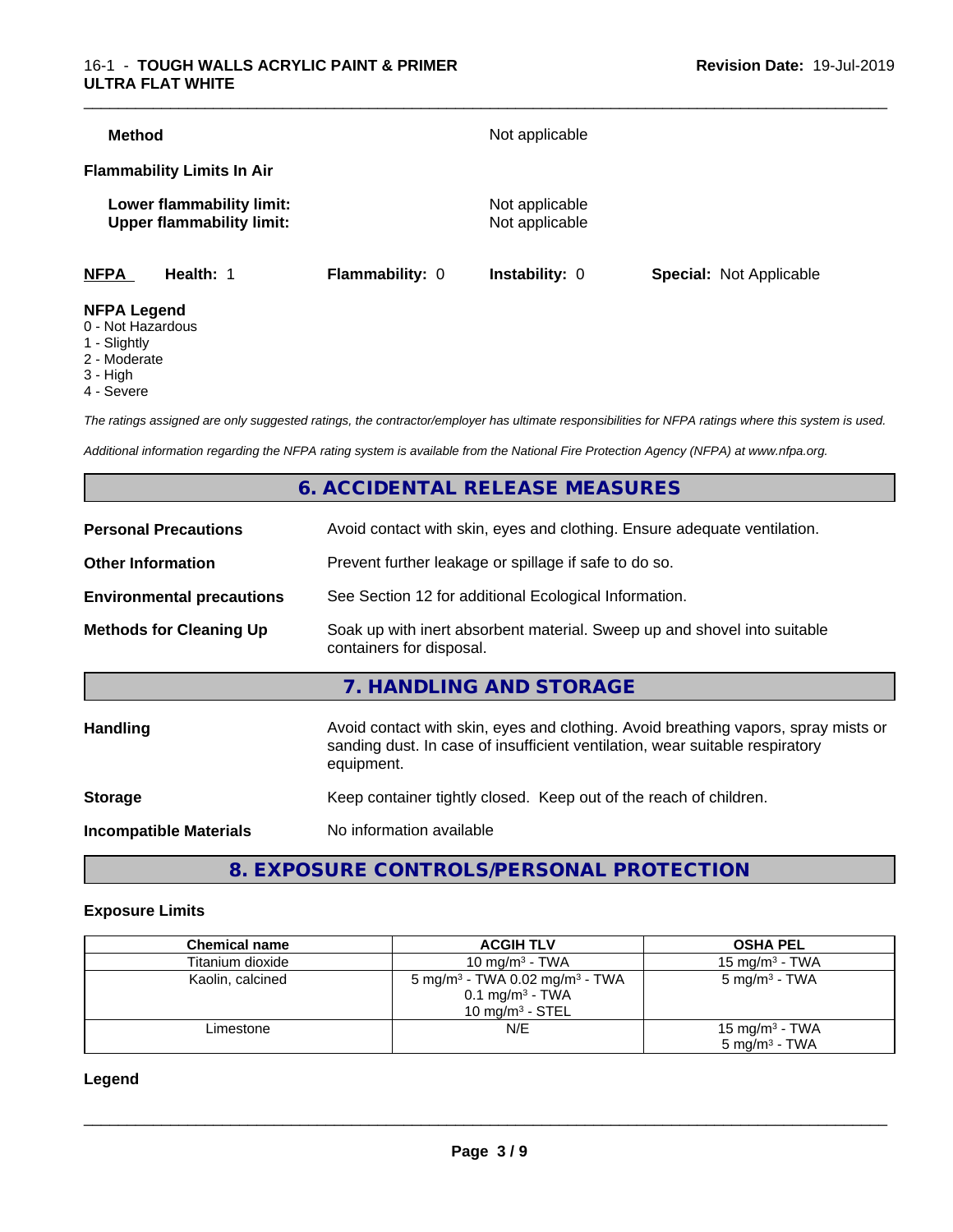#### 16-1 - **TOUGH WALLS ACRYLIC PAINT & PRIMER ULTRA FLAT WHITE**

| <b>Method</b>                           |                                                               |                        | Not applicable                   |                                |
|-----------------------------------------|---------------------------------------------------------------|------------------------|----------------------------------|--------------------------------|
|                                         | <b>Flammability Limits In Air</b>                             |                        |                                  |                                |
|                                         | Lower flammability limit:<br><b>Upper flammability limit:</b> |                        | Not applicable<br>Not applicable |                                |
| <b>NFPA</b>                             | Health: 1                                                     | <b>Flammability: 0</b> | Instability: 0                   | <b>Special: Not Applicable</b> |
| <b>NFPA Legend</b><br>0 - Not Hazardous |                                                               |                        |                                  |                                |

- 1 Slightly
- 2 Moderate
- 
- 3 High
- 4 Severe

*The ratings assigned are only suggested ratings, the contractor/employer has ultimate responsibilities for NFPA ratings where this system is used.*

*Additional information regarding the NFPA rating system is available from the National Fire Protection Agency (NFPA) at www.nfpa.org.*

# **6. ACCIDENTAL RELEASE MEASURES**

| <b>Personal Precautions</b>      | Avoid contact with skin, eyes and clothing. Ensure adequate ventilation.                                                                                                         |
|----------------------------------|----------------------------------------------------------------------------------------------------------------------------------------------------------------------------------|
| <b>Other Information</b>         | Prevent further leakage or spillage if safe to do so.                                                                                                                            |
| <b>Environmental precautions</b> | See Section 12 for additional Ecological Information.                                                                                                                            |
| <b>Methods for Cleaning Up</b>   | Soak up with inert absorbent material. Sweep up and shovel into suitable<br>containers for disposal.                                                                             |
|                                  | 7. HANDLING AND STORAGE                                                                                                                                                          |
| Handling                         | Avoid contact with skin, eyes and clothing. Avoid breathing vapors, spray mists or<br>sanding dust. In case of insufficient ventilation, wear suitable respiratory<br>equipment. |
| <b>Storage</b>                   | Keep container tightly closed. Keep out of the reach of children.                                                                                                                |
| <b>Incompatible Materials</b>    | No information available                                                                                                                                                         |
|                                  |                                                                                                                                                                                  |

# **8. EXPOSURE CONTROLS/PERSONAL PROTECTION**

#### **Exposure Limits**

| <b>Chemical name</b> | <b>ACGIH TLV</b>                                                                                              | <b>OSHA PEL</b>                                        |
|----------------------|---------------------------------------------------------------------------------------------------------------|--------------------------------------------------------|
| Titanium dioxide     | 10 mg/m $3$ - TWA                                                                                             | 15 mg/m $3$ - TWA                                      |
| Kaolin, calcined     | 5 mg/m <sup>3</sup> - TWA 0.02 mg/m <sup>3</sup> - TWA<br>$0.1$ mg/m <sup>3</sup> - TWA<br>10 mg/m $3$ - STEL | 5 mg/m <sup>3</sup> - TWA                              |
| Limestone            | N/E                                                                                                           | 15 mg/m <sup>3</sup> - TWA<br>$5 \text{ ma/m}^3$ - TWA |

**Legend**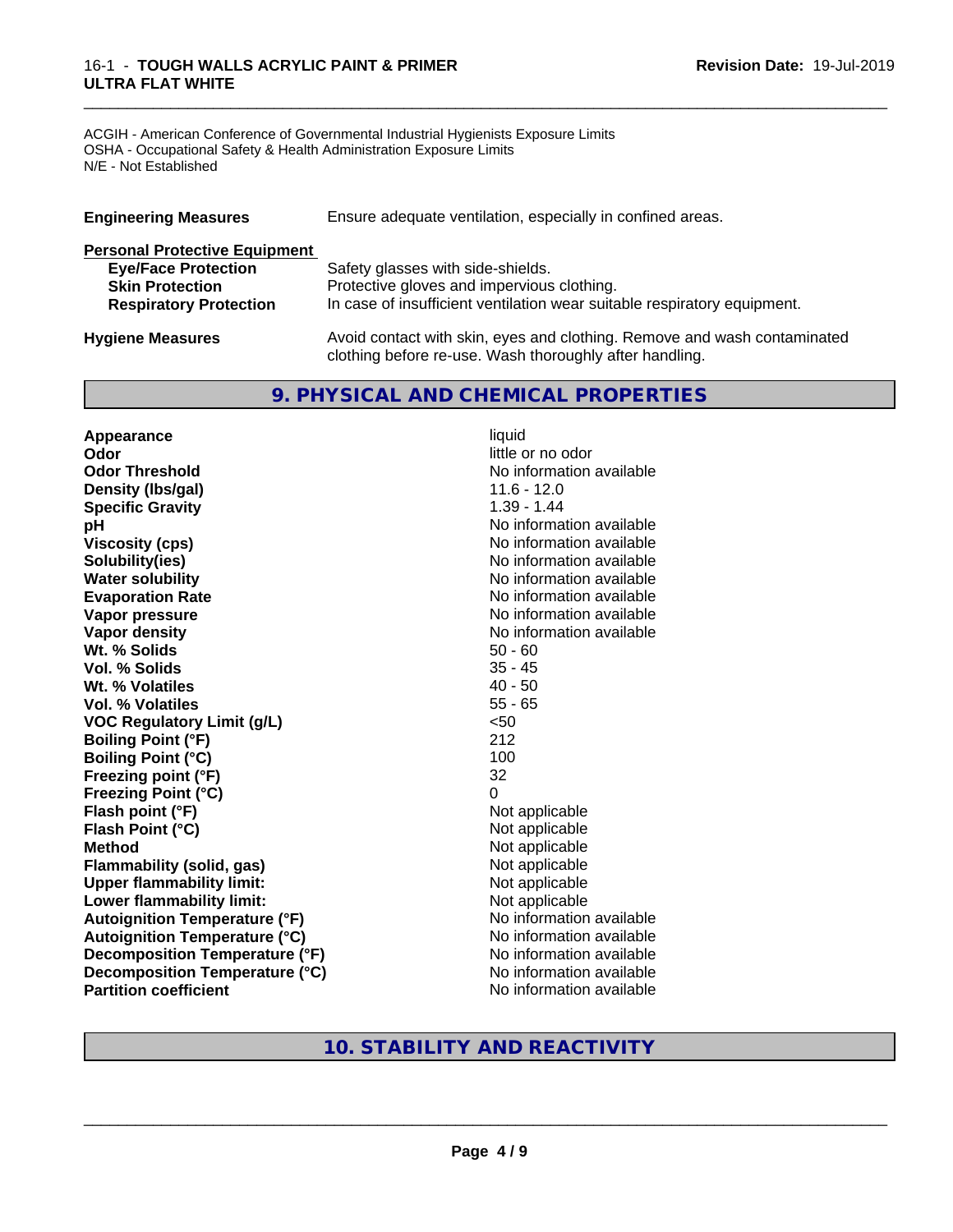#### 16-1 - **TOUGH WALLS ACRYLIC PAINT & PRIMER ULTRA FLAT WHITE**

ACGIH - American Conference of Governmental Industrial Hygienists Exposure Limits OSHA - Occupational Safety & Health Administration Exposure Limits N/E - Not Established

| <b>Engineering Measures</b>          | Ensure adequate ventilation, especially in confined areas.               |
|--------------------------------------|--------------------------------------------------------------------------|
| <b>Personal Protective Equipment</b> |                                                                          |
| <b>Eye/Face Protection</b>           | Safety glasses with side-shields.                                        |
| <b>Skin Protection</b>               | Protective gloves and impervious clothing.                               |
| <b>Respiratory Protection</b>        | In case of insufficient ventilation wear suitable respiratory equipment. |
| <b>Hygiene Measures</b>              | Avoid contact with skin, eyes and clothing. Remove and wash contaminated |

clothing before re-use. Wash thoroughly after handling.

\_\_\_\_\_\_\_\_\_\_\_\_\_\_\_\_\_\_\_\_\_\_\_\_\_\_\_\_\_\_\_\_\_\_\_\_\_\_\_\_\_\_\_\_\_\_\_\_\_\_\_\_\_\_\_\_\_\_\_\_\_\_\_\_\_\_\_\_\_\_\_\_\_\_\_\_\_\_\_\_\_\_\_\_\_\_\_\_\_\_\_\_\_

## **9. PHYSICAL AND CHEMICAL PROPERTIES**

**Appearance** liquid **Odor** little or no odor **Odor Threshold** No information available **Density (lbs/gal)** 11.6 - 12.0<br> **Specific Gravity** 1.39 - 1.44 **Specific Gravity pH pH**  $\blacksquare$ **Viscosity (cps)** No information available **Solubility(ies)** No information available **Water solubility** No information available **Evaporation Rate No information available No information available Vapor pressure** No information available **Vapor density**<br> **We Solids**<br>
We Solids
2019<br>
Me Solids
2019<br>
Me Solids
2019<br>
Me Solids
2019<br>
Me Solids
2019 **Wt. % Solids** 50 - 60<br> **Vol. % Solids** 35 - 45 **Vol. % Solids Wt. % Volatiles** 40 - 50 **Vol. % Volatiles** 55 - 65 **VOC Regulatory Limit (g/L)** <50 **Boiling Point (°F)** 212 **Boiling Point (°C)** 100 **Freezing point (°F)** 32 **Freezing Point (°C)** 0 **Flash point (°F)** Not applicable **Flash Point (°C)** Not applicable **Method**<br> **Flammability (solid, gas)**<br> **Commability (solid, gas)**<br>
Mot applicable **Flammability** (solid, gas) **Upper flammability limit:**<br> **Lower flammability limit:** Not applicable Not applicable **Lower flammability limit:**<br> **Autoignition Temperature (°F)** Not applicable available and the Mustafable and Mustafable and Mustafable and Mu **Autoignition Temperature (°F) Autoignition Temperature (°C)** No information available **Decomposition Temperature (°F)** No information available **Decomposition Temperature (°C)** No information available **Partition coefficient** No information available

# **10. STABILITY AND REACTIVITY**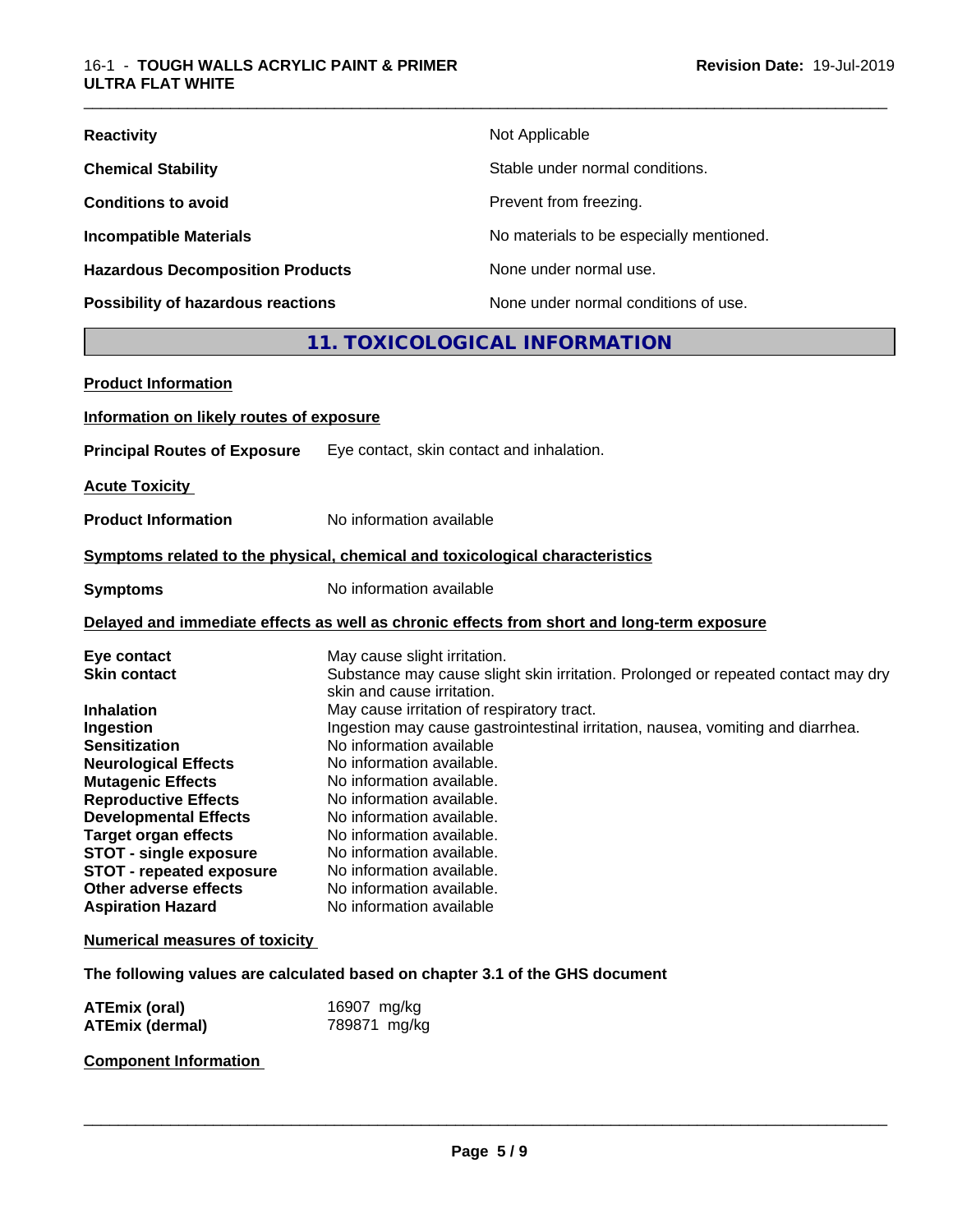| <b>Reactivity</b>                         | Not Applicable                           |
|-------------------------------------------|------------------------------------------|
| <b>Chemical Stability</b>                 | Stable under normal conditions.          |
| <b>Conditions to avoid</b>                | Prevent from freezing.                   |
| <b>Incompatible Materials</b>             | No materials to be especially mentioned. |
| <b>Hazardous Decomposition Products</b>   | None under normal use.                   |
| <b>Possibility of hazardous reactions</b> | None under normal conditions of use.     |

# **11. TOXICOLOGICAL INFORMATION**

\_\_\_\_\_\_\_\_\_\_\_\_\_\_\_\_\_\_\_\_\_\_\_\_\_\_\_\_\_\_\_\_\_\_\_\_\_\_\_\_\_\_\_\_\_\_\_\_\_\_\_\_\_\_\_\_\_\_\_\_\_\_\_\_\_\_\_\_\_\_\_\_\_\_\_\_\_\_\_\_\_\_\_\_\_\_\_\_\_\_\_\_\_

| <b>Product Information</b>               |                                                                                            |
|------------------------------------------|--------------------------------------------------------------------------------------------|
| Information on likely routes of exposure |                                                                                            |
| <b>Principal Routes of Exposure</b>      | Eye contact, skin contact and inhalation.                                                  |
| <b>Acute Toxicity</b>                    |                                                                                            |
| <b>Product Information</b>               | No information available                                                                   |
|                                          | Symptoms related to the physical, chemical and toxicological characteristics               |
|                                          |                                                                                            |
| <b>Symptoms</b>                          | No information available                                                                   |
|                                          | Delayed and immediate effects as well as chronic effects from short and long-term exposure |
| Eye contact                              | May cause slight irritation.                                                               |
| <b>Skin contact</b>                      | Substance may cause slight skin irritation. Prolonged or repeated contact may dry          |
|                                          | skin and cause irritation.                                                                 |
| <b>Inhalation</b>                        | May cause irritation of respiratory tract.                                                 |
| Ingestion                                | Ingestion may cause gastrointestinal irritation, nausea, vomiting and diarrhea.            |
| <b>Sensitization</b>                     | No information available                                                                   |
| <b>Neurological Effects</b>              | No information available.                                                                  |
| <b>Mutagenic Effects</b>                 | No information available.                                                                  |
| <b>Reproductive Effects</b>              | No information available.                                                                  |
| <b>Developmental Effects</b>             | No information available.                                                                  |
| <b>Target organ effects</b>              | No information available.                                                                  |
| <b>STOT - single exposure</b>            | No information available.                                                                  |
| <b>STOT - repeated exposure</b>          | No information available.                                                                  |
| Other adverse effects                    | No information available.                                                                  |
| <b>Aspiration Hazard</b>                 | No information available                                                                   |
| <b>Numerical measures of toxicity</b>    |                                                                                            |
|                                          | The following values are calculated based on chapter 3.1 of the GHS document               |
| ATEmiy (aral)                            | $16007 \text{ m}$                                                                          |

**ATEmix (oral)** 16907 mg/kg<br> **ATEmix (dermal)** 789871 mg/kg **ATEmix (dermal)** 

**Component Information**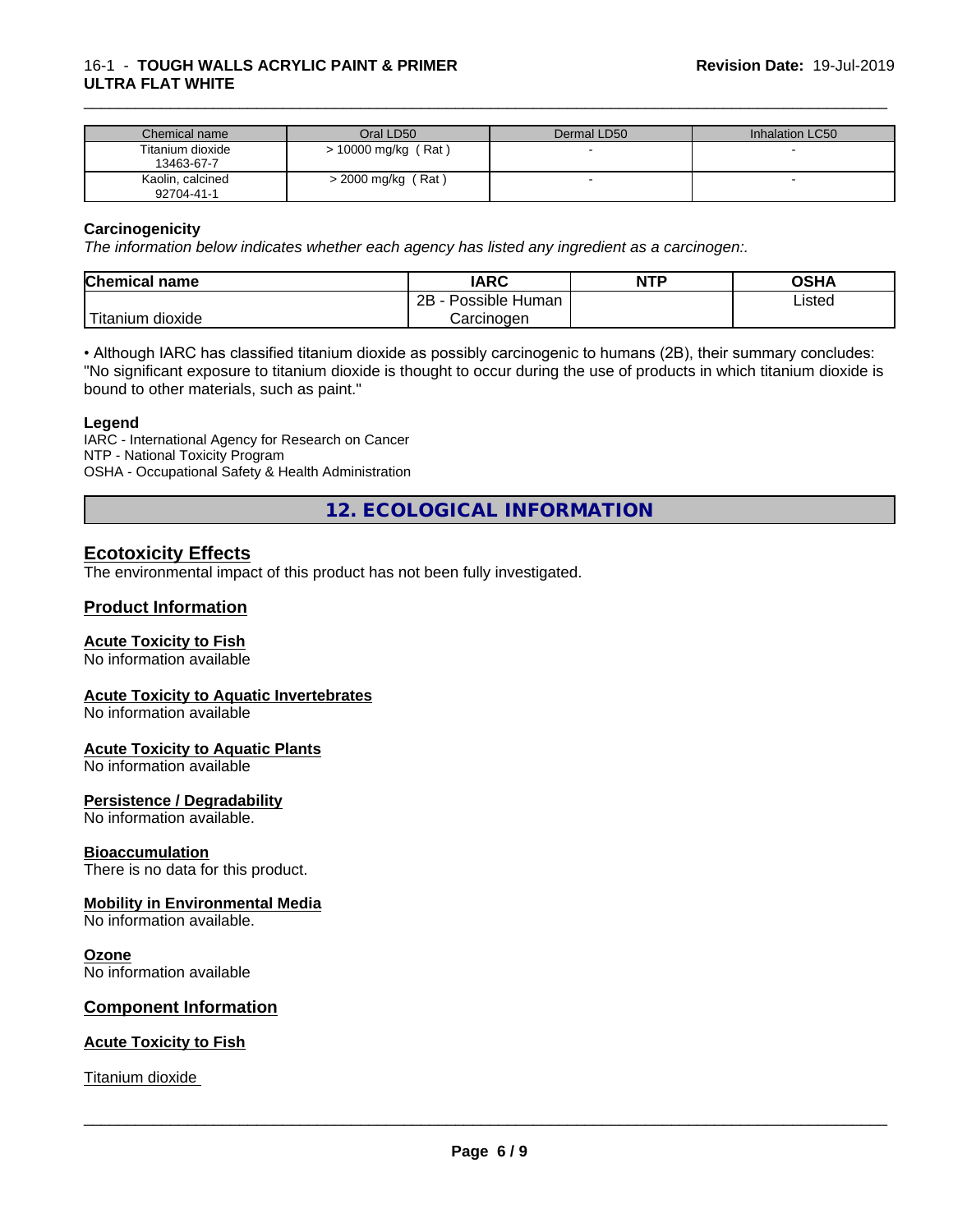#### 16-1 - **TOUGH WALLS ACRYLIC PAINT & PRIMER ULTRA FLAT WHITE**

| Chemical name                  | Oral LD50            | Dermal LD50 | Inhalation LC50 |
|--------------------------------|----------------------|-------------|-----------------|
| Titanium dioxide<br>13463-67-7 | > 10000 mg/kg (Rat)  |             |                 |
| Kaolin, calcined<br>92704-41-1 | $>$ 2000 mg/kg (Rat) |             |                 |

\_\_\_\_\_\_\_\_\_\_\_\_\_\_\_\_\_\_\_\_\_\_\_\_\_\_\_\_\_\_\_\_\_\_\_\_\_\_\_\_\_\_\_\_\_\_\_\_\_\_\_\_\_\_\_\_\_\_\_\_\_\_\_\_\_\_\_\_\_\_\_\_\_\_\_\_\_\_\_\_\_\_\_\_\_\_\_\_\_\_\_\_\_

#### **Carcinogenicity**

*The information below indicateswhether each agency has listed any ingredient as a carcinogen:.*

| <b>Chemical name</b>             | <b>IARC</b>                      | <b>NTP</b> | <b>OSHA</b> |
|----------------------------------|----------------------------------|------------|-------------|
|                                  | . .<br>2B<br>· Human<br>Possible |            | Listed      |
| .<br>. dioxide<br><b>itanium</b> | Carcinoɑen                       |            |             |

• Although IARC has classified titanium dioxide as possibly carcinogenic to humans (2B), their summary concludes: "No significant exposure to titanium dioxide is thought to occur during the use of products in which titanium dioxide is bound to other materials, such as paint."

#### **Legend**

IARC - International Agency for Research on Cancer NTP - National Toxicity Program OSHA - Occupational Safety & Health Administration

**12. ECOLOGICAL INFORMATION**

## **Ecotoxicity Effects**

The environmental impact of this product has not been fully investigated.

#### **Product Information**

#### **Acute Toxicity to Fish**

No information available

#### **Acute Toxicity to Aquatic Invertebrates**

No information available

#### **Acute Toxicity to Aquatic Plants**

No information available

#### **Persistence / Degradability**

No information available.

#### **Bioaccumulation**

There is no data for this product.

#### **Mobility in Environmental Media**

No information available.

#### **Ozone**

No information available

#### **Component Information**

#### **Acute Toxicity to Fish**

Titanium dioxide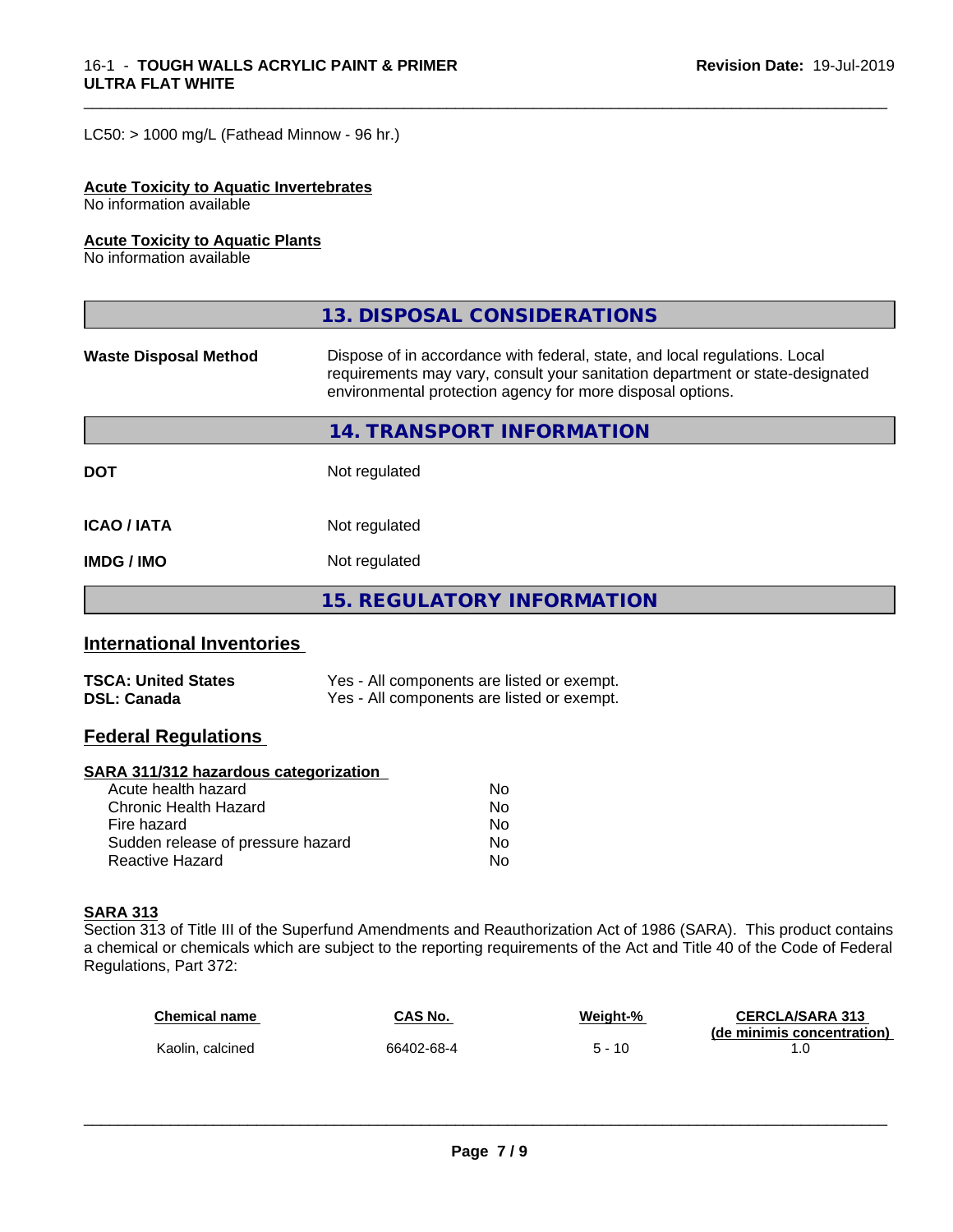$LC50:$  > 1000 mg/L (Fathead Minnow - 96 hr.)

#### **Acute Toxicity to Aquatic Invertebrates**

No information available

#### **Acute Toxicity to Aquatic Plants**

No information available

|                              | 13. DISPOSAL CONSIDERATIONS                                                                                                                                                                                               |
|------------------------------|---------------------------------------------------------------------------------------------------------------------------------------------------------------------------------------------------------------------------|
| <b>Waste Disposal Method</b> | Dispose of in accordance with federal, state, and local regulations. Local<br>requirements may vary, consult your sanitation department or state-designated<br>environmental protection agency for more disposal options. |
|                              | 14. TRANSPORT INFORMATION                                                                                                                                                                                                 |
| <b>DOT</b>                   | Not regulated                                                                                                                                                                                                             |
| <b>ICAO/IATA</b>             | Not regulated                                                                                                                                                                                                             |
| <b>IMDG / IMO</b>            | Not regulated                                                                                                                                                                                                             |
|                              | 15. REGULATORY INFORMATION                                                                                                                                                                                                |

\_\_\_\_\_\_\_\_\_\_\_\_\_\_\_\_\_\_\_\_\_\_\_\_\_\_\_\_\_\_\_\_\_\_\_\_\_\_\_\_\_\_\_\_\_\_\_\_\_\_\_\_\_\_\_\_\_\_\_\_\_\_\_\_\_\_\_\_\_\_\_\_\_\_\_\_\_\_\_\_\_\_\_\_\_\_\_\_\_\_\_\_\_

#### **International Inventories**

| <b>TSCA: United States</b> | Yes - All components are listed or exempt. |
|----------------------------|--------------------------------------------|
| <b>DSL: Canada</b>         | Yes - All components are listed or exempt. |

#### **Federal Regulations**

#### **SARA 311/312 hazardous categorization**

| Acute health hazard               | No. |  |
|-----------------------------------|-----|--|
| Chronic Health Hazard             | No. |  |
| Fire hazard                       | N٥  |  |
| Sudden release of pressure hazard | Nο  |  |
| Reactive Hazard                   | Nο  |  |

#### **SARA 313**

Section 313 of Title III of the Superfund Amendments and Reauthorization Act of 1986 (SARA). This product contains a chemical or chemicals which are subject to the reporting requirements of the Act and Title 40 of the Code of Federal Regulations, Part 372:

| <b>Chemical name</b> | CAS No.    | Weight-% | <b>CERCLA/SARA 313</b><br>(de minimis concentration) |
|----------------------|------------|----------|------------------------------------------------------|
| Kaolin, calcined     | 66402-68-4 | 5 - 10   |                                                      |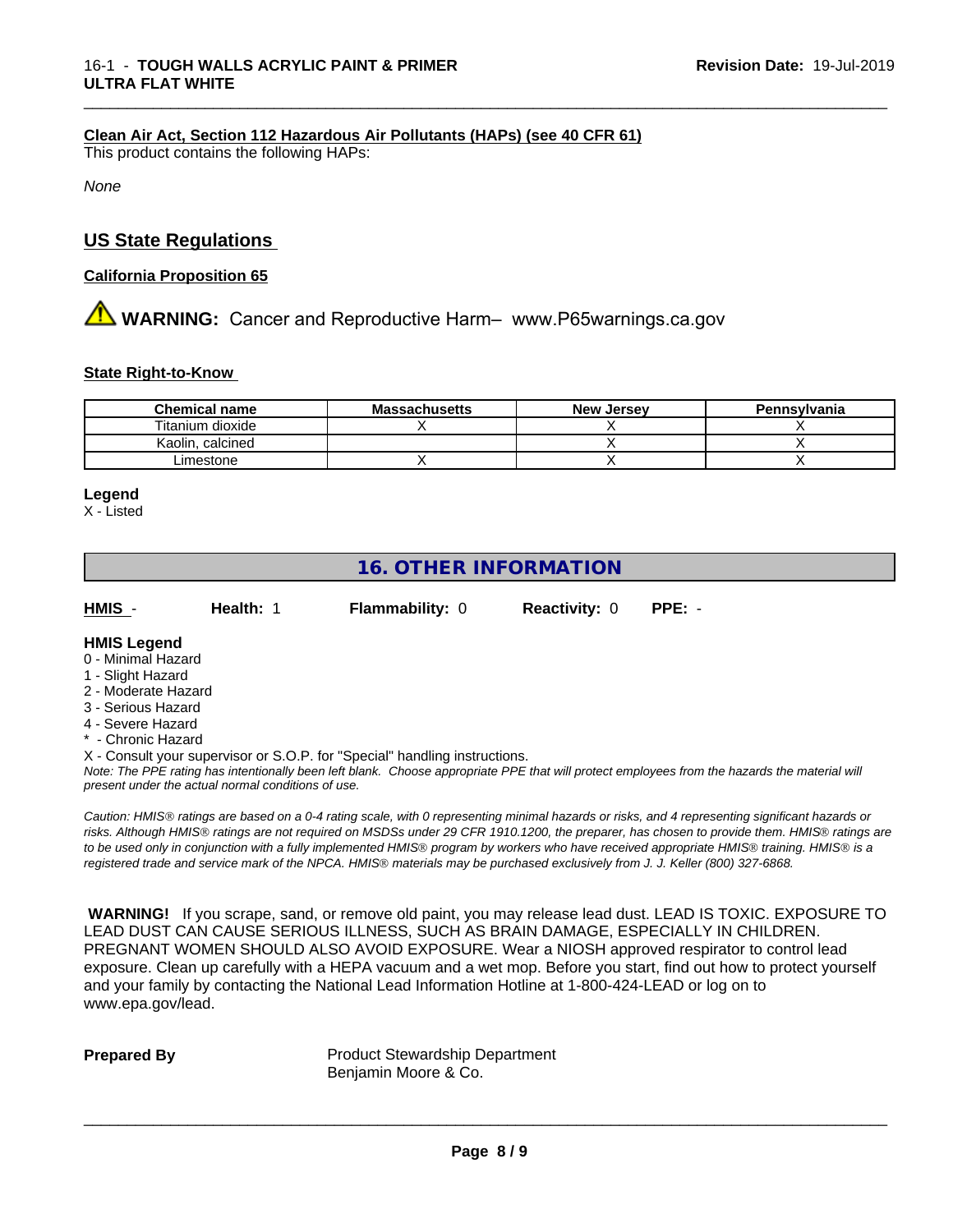#### **Clean Air Act,Section 112 Hazardous Air Pollutants (HAPs) (see 40 CFR 61)**

This product contains the following HAPs:

*None*

#### **US State Regulations**

#### **California Proposition 65**

# **AVIMARNING:** Cancer and Reproductive Harm– www.P65warnings.ca.gov

#### **State Right-to-Know**

| <b>Chemical name</b> | . .<br><b>Massachusetts</b> | New<br>. Jersev | Pennsylvania |
|----------------------|-----------------------------|-----------------|--------------|
| Titanium dioxide     |                             |                 |              |
| calcined<br>Kaolin   |                             |                 |              |
| Limestone            |                             |                 |              |

\_\_\_\_\_\_\_\_\_\_\_\_\_\_\_\_\_\_\_\_\_\_\_\_\_\_\_\_\_\_\_\_\_\_\_\_\_\_\_\_\_\_\_\_\_\_\_\_\_\_\_\_\_\_\_\_\_\_\_\_\_\_\_\_\_\_\_\_\_\_\_\_\_\_\_\_\_\_\_\_\_\_\_\_\_\_\_\_\_\_\_\_\_

#### **Legend**

X - Listed

# **16. OTHER INFORMATION**

| HMIS | Health: 1 | <b>Flammability: 0</b> | <b>Reactivity: 0</b> | PPE: - |
|------|-----------|------------------------|----------------------|--------|
|      |           |                        |                      |        |

#### **HMIS Legend**

- 0 Minimal Hazard
- 1 Slight Hazard
- 2 Moderate Hazard
- 3 Serious Hazard
- 4 Severe Hazard
- Chronic Hazard
- X Consult your supervisor or S.O.P. for "Special" handling instructions.

*Note: The PPE rating has intentionally been left blank. Choose appropriate PPE that will protect employees from the hazards the material will present under the actual normal conditions of use.*

*Caution: HMISÒ ratings are based on a 0-4 rating scale, with 0 representing minimal hazards or risks, and 4 representing significant hazards or risks. Although HMISÒ ratings are not required on MSDSs under 29 CFR 1910.1200, the preparer, has chosen to provide them. HMISÒ ratings are to be used only in conjunction with a fully implemented HMISÒ program by workers who have received appropriate HMISÒ training. HMISÒ is a registered trade and service mark of the NPCA. HMISÒ materials may be purchased exclusively from J. J. Keller (800) 327-6868.*

 **WARNING!** If you scrape, sand, or remove old paint, you may release lead dust. LEAD IS TOXIC. EXPOSURE TO LEAD DUST CAN CAUSE SERIOUS ILLNESS, SUCH AS BRAIN DAMAGE, ESPECIALLY IN CHILDREN. PREGNANT WOMEN SHOULD ALSO AVOID EXPOSURE. Wear a NIOSH approved respirator to control lead exposure. Clean up carefully with a HEPA vacuum and a wet mop. Before you start, find out how to protect yourself and your family by contacting the National Lead Information Hotline at 1-800-424-LEAD or log on to www.epa.gov/lead.

**Prepared By** Product Stewardship Department Benjamin Moore & Co.